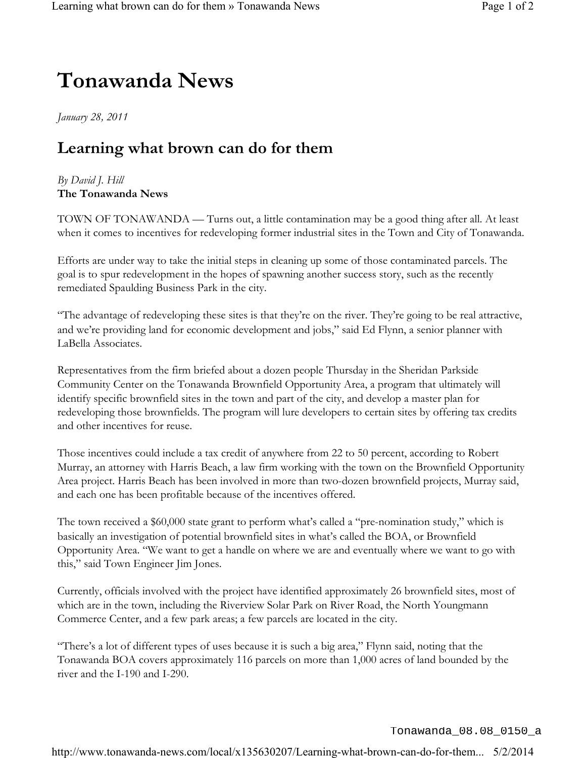## **Tonawanda News**

*January 28, 2011*

## **Learning what brown can do for them**

## *By David J. Hill* **The Tonawanda News**

TOWN OF TONAWANDA — Turns out, a little contamination may be a good thing after all. At least when it comes to incentives for redeveloping former industrial sites in the Town and City of Tonawanda.

Efforts are under way to take the initial steps in cleaning up some of those contaminated parcels. The goal is to spur redevelopment in the hopes of spawning another success story, such as the recently remediated Spaulding Business Park in the city.

"The advantage of redeveloping these sites is that they're on the river. They're going to be real attractive, and we're providing land for economic development and jobs," said Ed Flynn, a senior planner with LaBella Associates.

Representatives from the firm briefed about a dozen people Thursday in the Sheridan Parkside Community Center on the Tonawanda Brownfield Opportunity Area, a program that ultimately will identify specific brownfield sites in the town and part of the city, and develop a master plan for redeveloping those brownfields. The program will lure developers to certain sites by offering tax credits and other incentives for reuse.

Those incentives could include a tax credit of anywhere from 22 to 50 percent, according to Robert Murray, an attorney with Harris Beach, a law firm working with the town on the Brownfield Opportunity Area project. Harris Beach has been involved in more than two-dozen brownfield projects, Murray said, and each one has been profitable because of the incentives offered.

The town received a \$60,000 state grant to perform what's called a "pre-nomination study," which is basically an investigation of potential brownfield sites in what's called the BOA, or Brownfield Opportunity Area. "We want to get a handle on where we are and eventually where we want to go with this," said Town Engineer Jim Jones.

Currently, officials involved with the project have identified approximately 26 brownfield sites, most of which are in the town, including the Riverview Solar Park on River Road, the North Youngmann Commerce Center, and a few park areas; a few parcels are located in the city.

"There's a lot of different types of uses because it is such a big area," Flynn said, noting that the Tonawanda BOA covers approximately 116 parcels on more than 1,000 acres of land bounded by the river and the I-190 and I-290.

Tonawanda\_08.08\_0150\_a

http://www.tonawanda-news.com/local/x135630207/Learning-what-brown-can-do-for-them... 5/2/2014